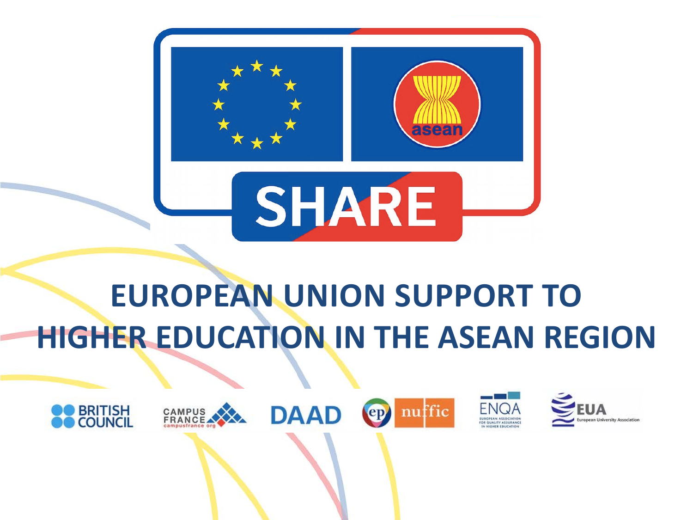

## **EUROPEAN UNION SUPPORT TO HIGHER EDUCATION IN THE ASEAN REGION**

ep

ffic

**DAAD** 



CAMPUS<br>FRANCE

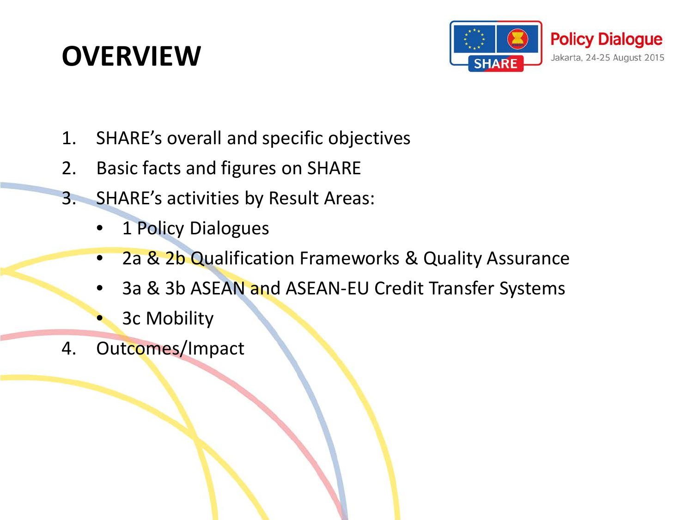#### **OVERVIEW**



- 1. SHARE's overall and specific objectives
- 2. Basic facts and figures on SHARE
- 3. SHARE's activities by Result Areas:
	- 1 Policy Dialogues
	- 2a & 2b Qualification Frameworks & Quality Assurance
	- 3a & 3b ASEAN and ASEAN-EU Credit Transfer Systems
	- 3c Mobility
- 4. Outcomes/Impact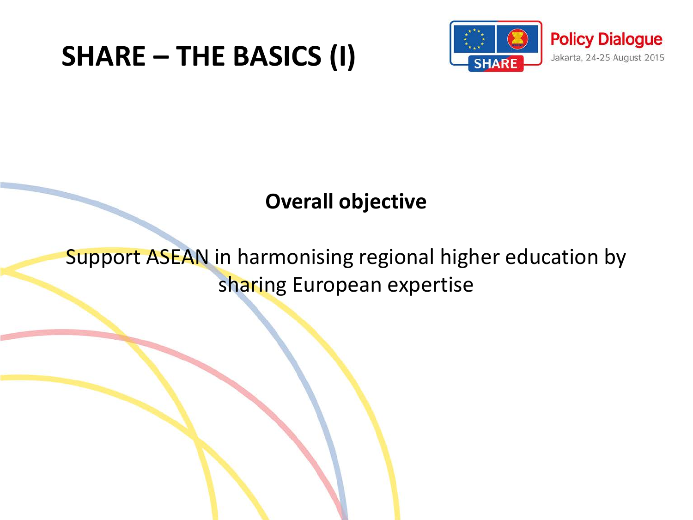#### **SHARE – THE BASICS (I)**



#### **Overall objective**

Support ASEAN in harmonising regional higher education by sharing European expertise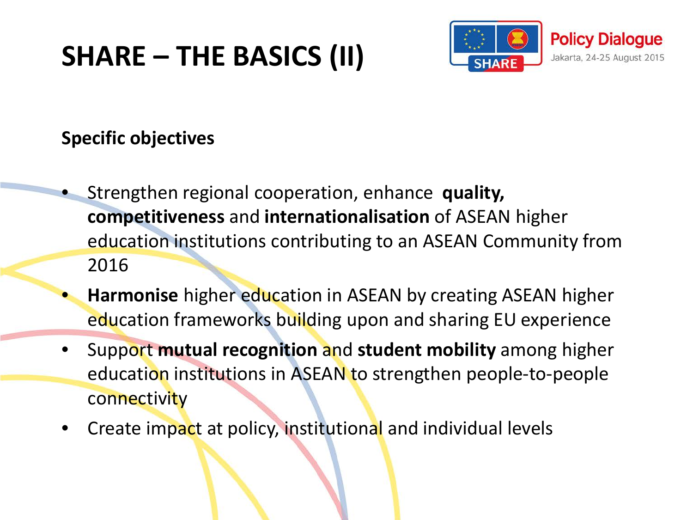### **SHARE – THE BASICS (II)**



#### **Specific objectives**

- Strengthen regional cooperation, enhance **quality, competitiveness** and **internationalisation** of ASEAN higher education institutions contributing to an ASEAN Community from 2016
- **Harmonise** higher education in ASEAN by creating ASEAN higher education frameworks building upon and sharing EU experience
- Support **mutual recognition** and **student mobility** among higher education institutions in ASEAN to strengthen people-to-people **connectivity**
- Create impact at policy, institutional and individual levels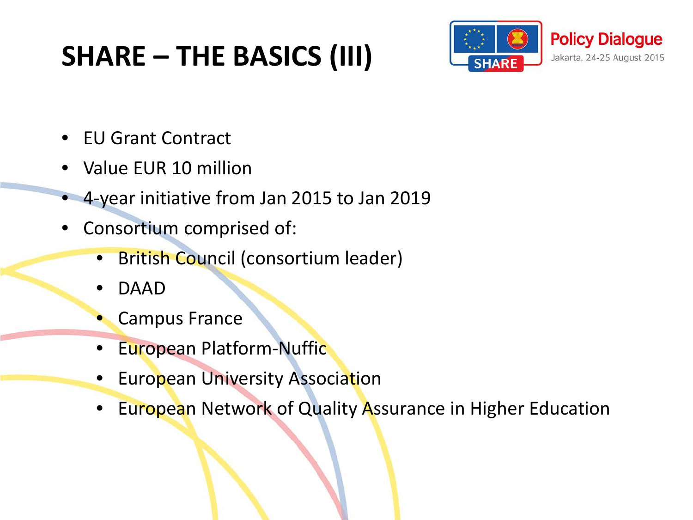### **SHARE – THE BASICS (III)**



- EU Grant Contract
- Value EUR 10 million
- 4-year initiative from Jan 2015 to Jan 2019
- Consortium comprised of:
	- British Council (consortium leader)
	- DAAD
	- Campus France
	- **European Platform-Nuffic**
	- **European University Association**
	- European Network of Quality Assurance in Higher Education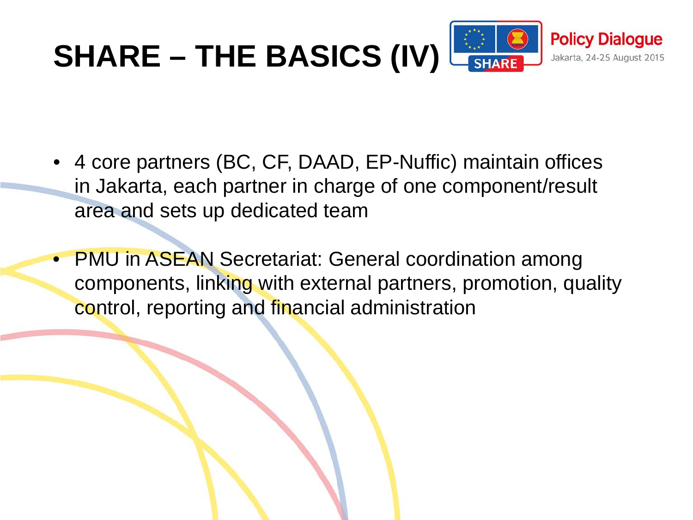

- 4 core partners (BC, CF, DAAD, EP-Nuffic) maintain offices in Jakarta, each partner in charge of one component/result area and sets up dedicated team
- PMU in ASEAN Secretariat: General coordination among components, linking with external partners, promotion, quality control, reporting and financial administration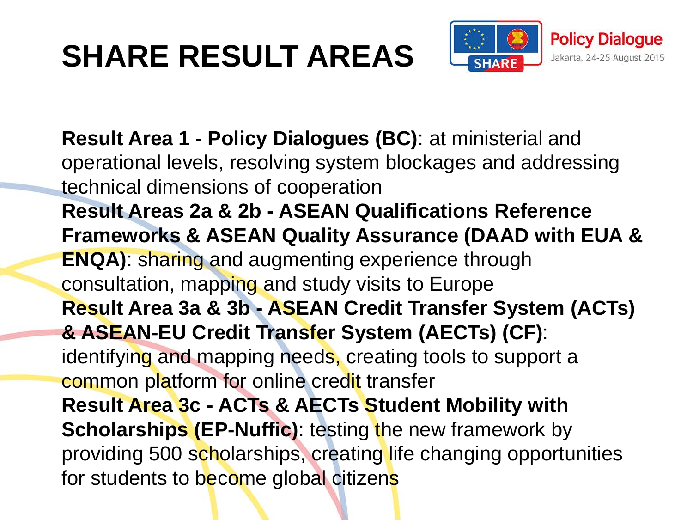# **SHARE RESULT AREAS**



**Result Area 1 - Policy Dialogues (BC)**: at ministerial and operational levels, resolving system blockages and addressing technical dimensions of cooperation **Result Areas 2a & 2b - ASEAN Qualifications Reference Frameworks & ASEAN Quality Assurance (DAAD with EUA & ENQA)**: sharing and augmenting experience through consultation, mapping and study visits to Europe **Result Area 3a & 3b - ASEAN Credit Transfer System (ACTs) & ASEAN-EU Credit Transfer System (AECTs) (CF)**: identifying and mapping needs, creating tools to support a common platform for online credit transfer **Result Area 3c - ACTs & AECTs Student Mobility with Scholarships (EP-Nuffic)**: testing the new framework by providing 500 scholarships, creating life changing opportunities for students to become global citizens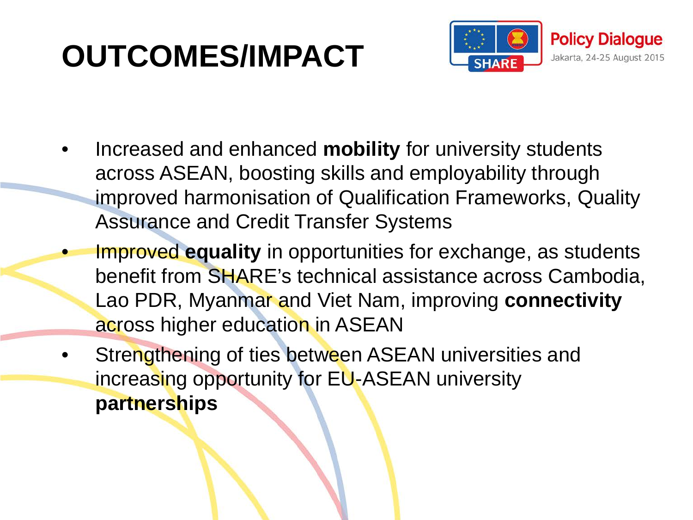## **OUTCOMES/IMPACT**



- Increased and enhanced **mobility** for university students across ASEAN, boosting skills and employability through improved harmonisation of Qualification Frameworks, Quality Assurance and Credit Transfer Systems
	- Improved **equality** in opportunities for exchange, as students benefit from SHARE's technical assistance across Cambodia, Lao PDR, Myanmar and Viet Nam, improving **connectivity** across higher education in ASEAN
- Strengthening of ties between ASEAN universities and increasing opportunity for EU-ASEAN university **partnerships**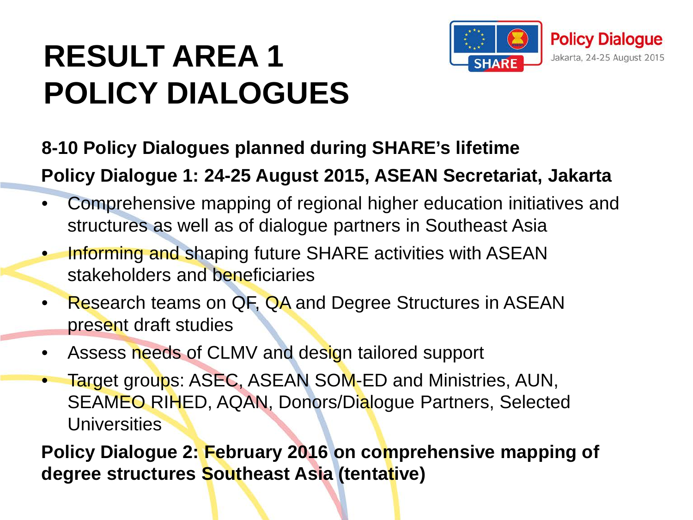# **RESULT AREA 1 POLICY DIALOGUES**



#### **8-10 Policy Dialogues planned during SHARE's lifetime**

**Policy Dialogue 1: 24-25 August 2015, ASEAN Secretariat, Jakarta**

- Comprehensive mapping of regional higher education initiatives and structures as well as of dialogue partners in Southeast Asia
- Informing and shaping future SHARE activities with ASEAN stakeholders and beneficiaries
- Research teams on QF, QA and Degree Structures in ASEAN present draft studies
- Assess needs of CLMV and design tailored support
- Target groups: ASEC, ASEAN SOM-ED and Ministries, AUN, SEAMEO RIHED, AQAN, Donors/Dialogue Partners, Selected **Universities**

**Policy Dialogue 2: February 2016 on comprehensive mapping of degree structures Southeast Asia (tentative)**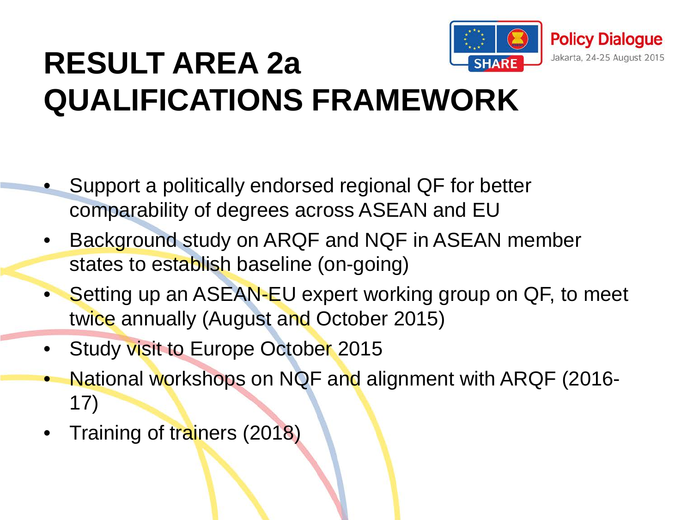

## **RESULT AREA 2a QUALIFICATIONS FRAMEWORK**

- Support a politically endorsed regional QF for better comparability of degrees across ASEAN and EU
- Background study on ARQF and NQF in ASEAN member states to establish baseline (on-going)
- Setting up an ASEAN-EU expert working group on QF, to meet twice annually (August and October 2015)
- Study visit to Europe October 2015
- National workshops on NQF and alignment with ARQF (2016- 17)
- Training of trainers (2018)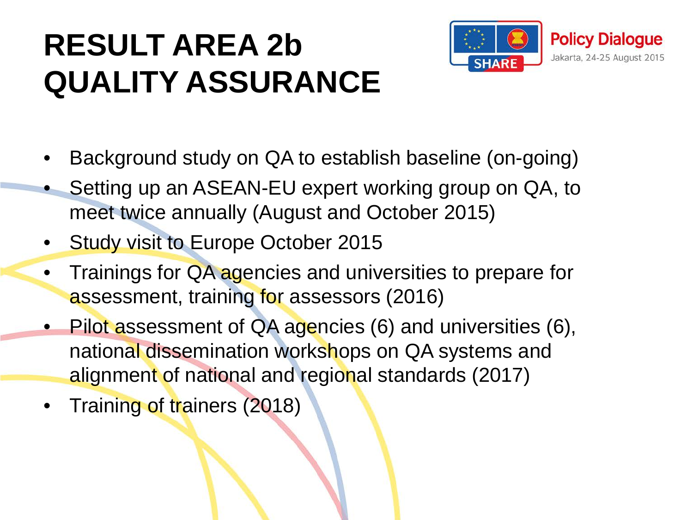## **RESULT AREA 2b QUALITY ASSURANCE**



- Background study on QA to establish baseline (on-going)
- Setting up an ASEAN-EU expert working group on QA, to meet twice annually (August and October 2015)
- Study visit to Europe October 2015
- Trainings for QA agencies and universities to prepare for assessment, training for assessors (2016)
- Pilot assessment of QA agencies (6) and universities (6), national dissemination workshops on QA systems and alignment of national and regional standards (2017)
- Training of trainers (2018)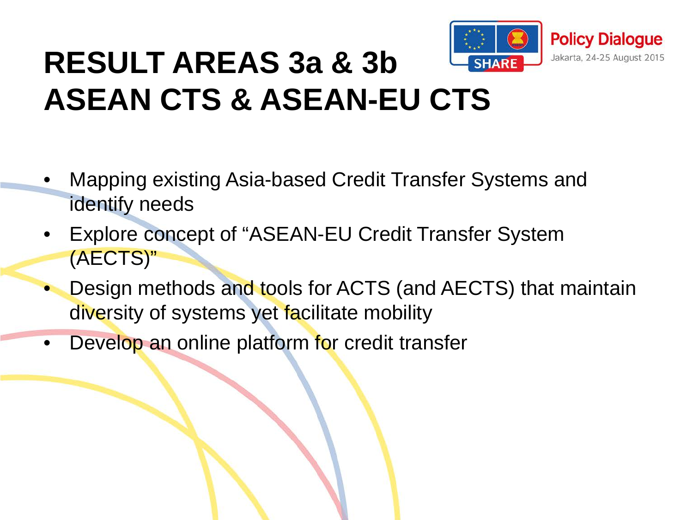

## **RESULT AREAS 3a & 3b ASEAN CTS & ASEAN-EU CTS**

- Mapping existing Asia-based Credit Transfer Systems and identify needs
- Explore concept of "ASEAN-EU Credit Transfer System (AECTS)"
- Design methods and tools for ACTS (and AECTS) that maintain diversity of systems yet facilitate mobility
- Develop an online platform for credit transfer